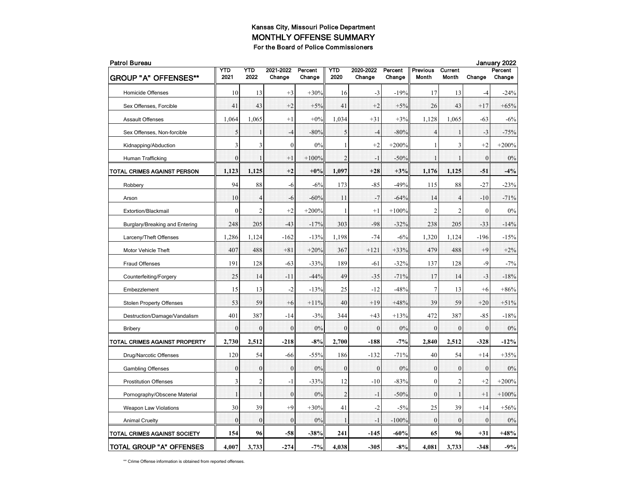| <b>Patrol Bureau</b>            |                  |                |                     |                   |                |                     |                   |                          |                  |              | January 2022      |
|---------------------------------|------------------|----------------|---------------------|-------------------|----------------|---------------------|-------------------|--------------------------|------------------|--------------|-------------------|
| <b>GROUP "A" OFFENSES**</b>     | YTD<br>2021      | YTD<br>2022    | 2021-2022<br>Change | Percent<br>Change | YTD<br>2020    | 2020-2022<br>Change | Percent<br>Change | <b>Previous</b><br>Month | Current<br>Month | Change       | Percent<br>Change |
| Homicide Offenses               | 10               | 13             | $+3$                | $+30%$            | 16             | $-3$                | $-19%$            | 17                       | 13               | $-4$         | -24%              |
| Sex Offenses, Forcible          | 41               | 43             | $+2$                | $+5%$             | 41             | $+2$                | $+5%$             | 26                       | 43               | $+17$        | $+65%$            |
| Assault Offenses                | 1,064            | 1.065          | $+1$                | $+0\%$            | 1,034          | $+31$               | $+3%$             | 1,128                    | 1,065            | $-63$        | $-6%$             |
| Sex Offenses, Non-forcible      | 5                | 1              | $-4$                | $-80%$            | 5              | $-4$                | $-80%$            | $\overline{4}$           | $\mathbf{1}$     | $-3$         | $-75%$            |
| Kidnapping/Abduction            | 3                | 3              | $\boldsymbol{0}$    | 0%                | 1              | $+2$                | $+200%$           | 1                        | 3                | $+2$         | $+200%$           |
| Human Trafficking               | $\overline{0}$   | $\mathbf{1}$   | $+1$                | $+100%$           | $\overline{2}$ | $-1$                | $-50%$            | $\mathbf{I}$             | $\mathbf{I}$     | $\mathbf{0}$ | 0%                |
| TOTAL CRIMES AGAINST PERSON     | 1,123            | 1,125          | $+2$                | $+0\%$            | 1,097          | $+28$               | $+3%$             | 1,176                    | 1,125            | $-51$        | $-4%$             |
| Robbery                         | 94               | 88             | $-6$                | $-6%$             | 173            | $-85$               | $-49%$            | 115                      | 88               | $-27$        | $-23%$            |
| Arson                           | 10               | $\overline{4}$ | $-6$                | $-60%$            | 11             | $-7$                | $-64%$            | 14                       | $\overline{4}$   | $-10$        | $-71%$            |
| Extortion/Blackmail             | $\mathbf{0}$     | $\overline{2}$ | $+2$                | $+200%$           | 1              | $+1$                | $+100%$           | $\overline{2}$           | $\overline{c}$   | $\Omega$     | 0%                |
| Burglary/Breaking and Entering  | 248              | 205            | $-43$               | $-17%$            | 303            | $-98$               | $-32%$            | 238                      | 205              | $-33$        | $-14%$            |
| Larceny/Theft Offenses          | 1,286            | 1,124          | $-162$              | $-13%$            | 1,198          | $-74$               | $-6%$             | 1,320                    | 1,124            | $-196$       | $-15%$            |
| Motor Vehicle Theft             | 407              | 488            | $+81$               | $+20%$            | 367            | $+121$              | $+33%$            | 479                      | 488              | $+9$         | $+2%$             |
| Fraud Offenses                  | 191              | 128            | $-63$               | $-33%$            | 189            | $-61$               | $-32%$            | 137                      | 128              | $-9$         | $-7%$             |
| Counterfeiting/Forgery          | 25               | 14             | $-11$               | $-44%$            | 49             | $-35$               | $-71%$            | 17                       | 14               | $-3$         | $-18%$            |
| Embezzlement                    | 15               | 13             | $-2$                | $-13%$            | 25             | $-12$               | $-48%$            | 7                        | 13               | $+6$         | $+86%$            |
| <b>Stolen Property Offenses</b> | 53               | 59             | $+6$                | $+11%$            | 40             | $+19$               | $+48%$            | 39                       | 59               | $+20$        | $+51%$            |
| Destruction/Damage/Vandalism    | 401              | 387            | $-14$               | $-3%$             | 344            | $+43$               | $+13%$            | 472                      | 387              | $-85$        | $-18%$            |
| <b>Bribery</b>                  | $\theta$         | $\mathbf{0}$   | $\bf{0}$            | 0%                | $\Omega$       | $\theta$            | 0%                | $\overline{0}$           | $\theta$         | $\Omega$     | 0%                |
| TOTAL CRIMES AGAINST PROPERTY   | 2,730            | 2,512          | $-218$              | $-8%$             | 2,700          | $-188$              | $-7%$             | 2,840                    | 2,512            | $-328$       | $-12%$            |
| Drug/Narcotic Offenses          | 120              | 54             | $-66$               | $-55%$            | 186            | $-132$              | $-71%$            | 40                       | 54               | $+14$        | $+35%$            |
| <b>Gambling Offenses</b>        | $\mathbf{0}$     | $\mathbf{0}$   | $\overline{0}$      | 0%                | $\mathbf{0}$   | $\mathbf{0}$        | 0%                | $\mathbf{0}$             | $\mathbf{0}$     | $\mathbf{0}$ | 0%                |
| <b>Prostitution Offenses</b>    | 3                | $\overline{2}$ | $-1$                | $-33%$            | 12             | $-10$               | $-83%$            | $\mathbf{0}$             | 2                | $+2$         | $+200%$           |
| Pornography/Obscene Material    | $\mathbf{1}$     | $\mathbf{1}$   | $\overline{0}$      | 0%                | $\overline{2}$ | $-1$                | $-50%$            | $\mathbf{0}$             | $\mathbf{1}$     | $+1$         | $+100%$           |
| <b>Weapon Law Violations</b>    | 30               | 39             | $+9$                | $+30%$            | 41             | $-2$                | $-5%$             | 25                       | 39               | $+14$        | $+56%$            |
| <b>Animal Cruelty</b>           | $\boldsymbol{0}$ | $\mathbf{0}$   | $\theta$            | 0%                | $\mathbf{1}$   | $-1$                | $-100%$           | $\theta$                 | $\theta$         | $\Omega$     | $0\%$             |
| TOTAL CRIMES AGAINST SOCIETY    | 154              | 96             | $-58$               | $-38%$            | 241            | $-145$              | $-60%$            | 65                       | 96               | $+31$        | $+48%$            |
| <b>TOTAL GROUP "A" OFFENSES</b> | 4,007            | 3,733          | $-274$              | $-7%$             | 4,038          | $-305$              | $-8%$             | 4,081                    | 3,733            | $-348$       | $-9%$             |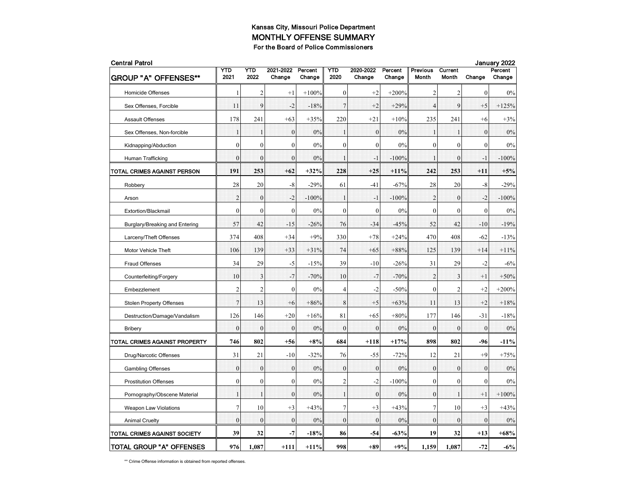| <b>Central Patrol</b>           |                  |                  |                     |                   |                |                     |                   |                          |                         |              | January 2022      |  |  |  |
|---------------------------------|------------------|------------------|---------------------|-------------------|----------------|---------------------|-------------------|--------------------------|-------------------------|--------------|-------------------|--|--|--|
| <b>GROUP "A" OFFENSES**</b>     | YTD<br>2021      | YTD<br>2022      | 2021-2022<br>Change | Percent<br>Change | YTD<br>2020    | 2020-2022<br>Change | Percent<br>Change | <b>Previous</b><br>Month | Current<br><b>Month</b> | Change       | Percent<br>Change |  |  |  |
| <b>Homicide Offenses</b>        | 1                | 2                | $+1$                | $+100%$           | $\mathbf{0}$   | $+2$                | $+200%$           | 2                        | 2                       | $\mathbf{0}$ | 0%                |  |  |  |
| Sex Offenses, Forcible          | 11               | 9                | $-2$                | $-18%$            | $\overline{7}$ | $+2$                | $+29%$            | $\overline{4}$           | 9                       | $+5$         | $+125%$           |  |  |  |
| <b>Assault Offenses</b>         | 178              | 241              | $+63$               | $+35%$            | 220            | $+21$               | $+10%$            | 235                      | 241                     | $+6$         | $+3%$             |  |  |  |
| Sex Offenses, Non-forcible      | $\mathbf 1$      | 1                | $\mathbf{0}$        | 0%                | $\mathbf{1}$   | $\boldsymbol{0}$    | 0%                | $\mathbf{1}$             | $\mathbf{1}$            | $\mathbf{0}$ | 0%                |  |  |  |
| Kidnapping/Abduction            | $\mathbf{0}$     | $\boldsymbol{0}$ | $\overline{0}$      | 0%                | $\mathbf{0}$   | $\mathbf{0}$        | 0%                | $\mathbf{0}$             | $\mathbf{0}$            | $\theta$     | 0%                |  |  |  |
| Human Trafficking               | $\theta$         | $\mathbf{0}$     | $\theta$            | 0%                | $\mathbf{1}$   | - 1                 | $-100%$           | $\mathbf{1}$             | $\theta$                | $-1$         | $-100%$           |  |  |  |
| TOTAL CRIMES AGAINST PERSON     | 191              | 253              | $+62$               | $+32%$            | 228            | $+25$               | $+11%$            | 242                      | 253                     | $+11$        | $+5%$             |  |  |  |
| Robbery                         | 28               | 20               | $-8$                | $-29%$            | 61             | $-41$               | $-67%$            | 28                       | 20                      | -8           | $-29%$            |  |  |  |
| Arson                           | $\overline{2}$   | $\mathbf{0}$     | $-2$                | $-100%$           | $\mathbf{1}$   | $-1$                | $-100%$           | $\overline{2}$           | $\mathbf{0}$            | $-2$         | $-100%$           |  |  |  |
| Extortion/Blackmail             | $\mathbf{0}$     | $\mathbf{0}$     | $\overline{0}$      | 0%                | $\mathbf{0}$   | $\mathbf{0}$        | 0%                | $\mathbf{0}$             | $\mathbf{0}$            | $\mathbf{0}$ | 0%                |  |  |  |
| Burglary/Breaking and Entering  | 57               | 42               | $-15$               | $-26%$            | 76             | $-34$               | $-45%$            | 52                       | 42                      | $-10$        | $-19%$            |  |  |  |
| Larceny/Theft Offenses          | 374              | 408              | $+34$               | $+9%$             | 330            | $+78$               | $+24%$            | 470                      | 408                     | $-62$        | $-13%$            |  |  |  |
| Motor Vehicle Theft             | 106              | 139              | $+33$               | $+31%$            | 74             | $+65$               | $+88%$            | 125                      | 139                     | $+14$        | $+11\%$           |  |  |  |
| <b>Fraud Offenses</b>           | 34               | 29               | $-5$                | $-15%$            | 39             | $-10$               | $-26%$            | 31                       | 29                      | $-2$         | $-6%$             |  |  |  |
| Counterfeiting/Forgery          | 10               | 3                | $-7$                | $-70%$            | 10             | $-7$                | $-70%$            | $\overline{2}$           | 3                       | $+1$         | $+50%$            |  |  |  |
| Embezzlement                    | $\overline{2}$   | $\overline{2}$   | $\mathbf{0}$        | 0%                | 4              | $-2$                | $-50%$            | $\mathbf{0}$             | 2                       | $+2$         | $+200%$           |  |  |  |
| <b>Stolen Property Offenses</b> | $\overline{7}$   | 13               | $+6$                | $+86%$            | 8              | $+5$                | $+63%$            | 11                       | 13                      | $+2$         | $+18%$            |  |  |  |
| Destruction/Damage/Vandalism    | 126              | 146              | $+20$               | $+16%$            | 81             | $+65$               | $+80%$            | 177                      | 146                     | $-31$        | $-18%$            |  |  |  |
| <b>Bribery</b>                  | $\bf{0}$         | $\mathbf{0}$     | $\overline{0}$      | 0%                | $\mathbf{0}$   | $\mathbf{0}$        | 0%                | $\mathbf{0}$             | $\mathbf{0}$            | $\mathbf{0}$ | $0\%$             |  |  |  |
| TOTAL CRIMES AGAINST PROPERTY   | 746              | 802              | $+56$               | $+8%$             | 684            | $+118$              | $+17%$            | 898                      | 802                     | -96          | $-11%$            |  |  |  |
| Drug/Narcotic Offenses          | 31               | 21               | $-10$               | $-32%$            | 76             | $-55$               | $-72%$            | 12                       | 21                      | $+9$         | $+75%$            |  |  |  |
| <b>Gambling Offenses</b>        | $\Omega$         | $\mathbf{0}$     | $\mathbf{0}$        | 0%                | $\theta$       | $\mathbf{0}$        | 0%                | $\mathbf{0}$             | $\mathbf{0}$            | $\mathbf{0}$ | 0%                |  |  |  |
| <b>Prostitution Offenses</b>    | $\boldsymbol{0}$ | $\boldsymbol{0}$ | $\boldsymbol{0}$    | 0%                | $\overline{c}$ | $-2$                | $-100%$           | $\boldsymbol{0}$         | $\mathbf{0}$            | $\theta$     | 0%                |  |  |  |
| Pornography/Obscene Material    | $\mathbf{1}$     | $\mathbf{1}$     | $\mathbf{0}$        | 0%                | $\mathbf{1}$   | $\mathbf{0}$        | $0\%$             | $\boldsymbol{0}$         | $\mathbf{1}$            | $+1$         | $+100%$           |  |  |  |
| <b>Weapon Law Violations</b>    | $\overline{7}$   | 10               | $+3$                | $+43%$            | 7              | $+3$                | $+43%$            | $\tau$                   | 10                      | $+3$         | $+43%$            |  |  |  |
| <b>Animal Cruelty</b>           | $\theta$         | $\mathbf{0}$     | $\theta$            | 0%                | $\theta$       | $\theta$            | 0%                | $\mathbf{0}$             | $\theta$                | $\theta$     | 0%                |  |  |  |
| TOTAL CRIMES AGAINST SOCIETY    | 39               | 32               | $-7$                | $-18%$            | 86             | $-54$               | -63%              | 19                       | 32                      | $+13$        | $+68%$            |  |  |  |
| TOTAL GROUP "A" OFFENSES        | 976              | 1,087            | $+111$              | $+11%$            | 998            | $+89$               | $+9%$             | 1,159                    | 1,087                   | $-72$        | $-6\%$            |  |  |  |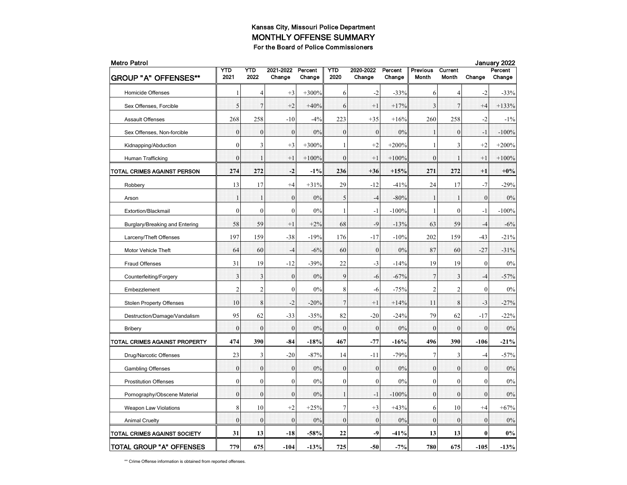| <b>Metro Patrol</b>             |                |                |                     |                   |                    |                     |                   |                          |                  | January 2022     |                   |  |
|---------------------------------|----------------|----------------|---------------------|-------------------|--------------------|---------------------|-------------------|--------------------------|------------------|------------------|-------------------|--|
| <b>GROUP "A" OFFENSES**</b>     | YTD<br>2021    | YTD<br>2022    | 2021-2022<br>Change | Percent<br>Change | <b>YTD</b><br>2020 | 2020-2022<br>Change | Percent<br>Change | <b>Previous</b><br>Month | Current<br>Month | Change           | Percent<br>Change |  |
| Homicide Offenses               | 1              | $\overline{4}$ | $+3$                | $+300%$           | 6                  | $-2$                | $-33%$            | 6                        | 4                | $-2$             | $-33%$            |  |
| Sex Offenses, Forcible          | 5              | 7              | $+2$                | $+40%$            | 6                  | $+1$                | $+17%$            | 3                        | $7\phantom{.0}$  | $+4$             | $+133%$           |  |
| <b>Assault Offenses</b>         | 268            | 258            | $-10$               | $-4%$             | 223                | $+35$               | $+16%$            | 260                      | 258              | $-2$             | $-1\%$            |  |
| Sex Offenses, Non-forcible      | $\mathbf{0}$   | $\mathbf{0}$   | $\mathbf{0}$        | 0%                | $\mathbf{0}$       | $\boldsymbol{0}$    | 0%                | $\mathbf{1}$             | $\mathbf{0}$     | $-1$             | $-100%$           |  |
| Kidnapping/Abduction            | $\mathbf{0}$   | 3              | $+3$                | $+300%$           | 1                  | $+2$                | $+200%$           | $\mathbf{1}$             | 3                | $+2$             | $+200%$           |  |
| Human Trafficking               | $\theta$       | $\mathbf{1}$   | $+1$                | $+100%$           | $\mathbf{0}$       | $+1$                | $+100%$           | $\overline{0}$           | 1                | $+1$             | $+100%$           |  |
| TOTAL CRIMES AGAINST PERSON     | 274            | 272            | $-2$                | $-1%$             | 236                | $+36$               | $+15%$            | 271                      | 272              | $+1$             | $+0\%$            |  |
| Robbery                         | 13             | 17             | $+4$                | $+31%$            | 29                 | $-12$               | $-41%$            | 24                       | 17               | $-7$             | $-29%$            |  |
| Arson                           | $\mathbf{1}$   | 1              | $\mathbf{0}$        | 0%                | 5                  | $-4$                | $-80%$            | $\mathbf{1}$             | ា                | $\mathbf{0}$     | 0%                |  |
| Extortion/Blackmail             | $\mathbf{0}$   | $\mathbf{0}$   | $\boldsymbol{0}$    | 0%                | 1                  | $-1$                | $-100%$           | $\mathbf{1}$             | $\boldsymbol{0}$ | $-1$             | $-100%$           |  |
| Burglary/Breaking and Entering  | 58             | 59             | $+1$                | $+2%$             | 68                 | -9                  | $-13%$            | 63                       | 59               | $-4$             | $-6%$             |  |
| Larceny/Theft Offenses          | 197            | 159            | $-38$               | $-19%$            | 176                | $-17$               | $-10%$            | 202                      | 159              | $-43$            | $-21%$            |  |
| Motor Vehicle Theft             | 64             | 60             | $-4$                | $-6%$             | 60                 | $\mathbf{0}$        | 0%                | 87                       | 60               | $-27$            | $-31%$            |  |
| Fraud Offenses                  | 31             | 19             | $-12$               | $-39%$            | 22                 | $-3$                | $-14%$            | 19                       | 19               | $\mathbf{0}$     | 0%                |  |
| Counterfeiting/Forgery          | 3              | 3              | $\boldsymbol{0}$    | 0%                | 9                  | $-6$                | $-67%$            | $\overline{7}$           | 3                | $-4$             | $-57%$            |  |
| Embezzlement                    | $\overline{c}$ | $\overline{2}$ | $\boldsymbol{0}$    | 0%                | 8                  | $-6$                | $-75%$            | $\mathfrak{2}$           | 2                | $\boldsymbol{0}$ | $0\%$             |  |
| <b>Stolen Property Offenses</b> | 10             | 8              | $-2$                | $-20%$            | $\overline{7}$     | $+1$                | $+14%$            | 11                       | 8                | $-3$             | $-27%$            |  |
| Destruction/Damage/Vandalism    | 95             | 62             | $-33$               | $-35%$            | 82                 | $-20$               | $-24%$            | 79                       | 62               | $-17$            | $-22%$            |  |
| <b>Bribery</b>                  | $\overline{0}$ | $\mathbf{0}$   | $\overline{0}$      | 0%                | $\mathbf{0}$       | $\mathbf{0}$        | 0%                | $\mathbf{0}$             | $\mathbf{0}$     | $\mathbf{0}$     | 0%                |  |
| TOTAL CRIMES AGAINST PROPERTY   | 474            | 390            | -84                 | $-18%$            | 467                | $-77$               | $-16%$            | 496                      | 390              | $-106$           | $-21%$            |  |
| Drug/Narcotic Offenses          | 23             | 3              | $-20$               | $-87%$            | 14                 | $-11$               | $-79%$            | $\boldsymbol{7}$         | 3                | $-4$             | $-57%$            |  |
| <b>Gambling Offenses</b>        | $\mathbf{0}$   | $\mathbf{0}$   | $\boldsymbol{0}$    | 0%                | $\mathbf{0}$       | $\boldsymbol{0}$    | 0%                | $\mathbf{0}$             | $\mathbf{0}$     | $\mathbf{0}$     | 0%                |  |
| <b>Prostitution Offenses</b>    | $\mathbf{0}$   | $\mathbf{0}$   | $\overline{0}$      | 0%                | $\mathbf{0}$       | $\mathbf{0}$        | 0%                | $\mathbf{0}$             | $\overline{0}$   | $\mathbf{0}$     | $0\%$             |  |
| Pornography/Obscene Material    | $\overline{0}$ | $\mathbf{0}$   | $\overline{0}$      | 0%                | 1                  | $-1$                | $-100%$           | $\overline{0}$           | $\mathbf{0}$     | $\mathbf{0}$     | 0%                |  |
| <b>Weapon Law Violations</b>    | 8              | 10             | $+2$                | $+25%$            | 7                  | $+3$                | $+43%$            | 6                        | 10               | $+4$             | $+67%$            |  |
| <b>Animal Cruelty</b>           | $\mathbf{0}$   | $\mathbf{0}$   | $\mathbf{0}$        | 0%                | $\mathbf{0}$       | $\mathbf{0}$        | 0%                | $\mathbf{0}$             | $\mathbf{0}$     | $\overline{0}$   | 0%                |  |
| TOTAL CRIMES AGAINST SOCIETY    | 31             | 13             | $-18$               | $-58%$            | 22                 | -9                  | $-41%$            | 13                       | 13               | 0                | $0\%$             |  |
| <b>TOTAL GROUP "A" OFFENSES</b> | 779            | 675            | $-104$              | $-13%$            | 725                | $-50$               | $-7%$             | 780                      | 675              | $-105$           | $-13%$            |  |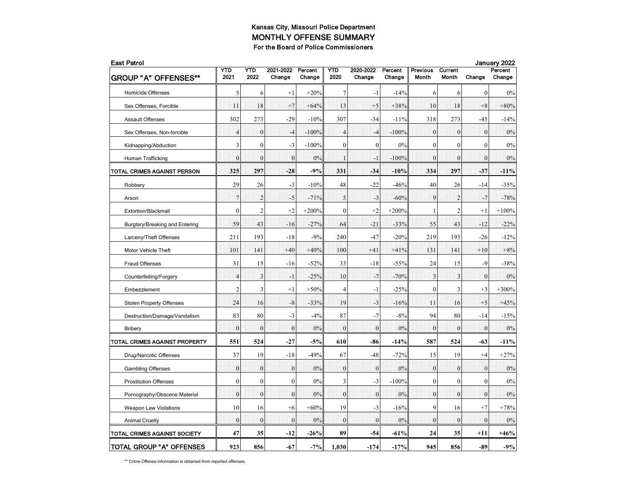| <b>East Patrol</b>              |                  |                  |                     |                   |                |                     |                   |                          |                         | January 2022     |                   |  |  |
|---------------------------------|------------------|------------------|---------------------|-------------------|----------------|---------------------|-------------------|--------------------------|-------------------------|------------------|-------------------|--|--|
| <b>GROUP "A" OFFENSES**</b>     | YTD<br>2021      | YTD<br>2022      | 2021-2022<br>Change | Percent<br>Change | YTD<br>2020    | 2020-2022<br>Change | Percent<br>Change | <b>Previous</b><br>Month | Current<br><b>Month</b> | Change           | Percent<br>Change |  |  |
| <b>Homicide Offenses</b>        | 5                | 6                | $+1$                | $+20%$            | 7              | $-1$                | $-14%$            | 6                        | 6                       | $\theta$         | 0%                |  |  |
| Sex Offenses, Forcible          | 11               | 18               | $+7$                | $+64%$            | 13             | $+5$                | $+38%$            | 10                       | 18                      | $+8$             | $+80%$            |  |  |
| <b>Assault Offenses</b>         | 302              | 273              | $-29$               | $-10%$            | 307            | $-34$               | $-11%$            | 318                      | 273                     | $-45$            | $-14%$            |  |  |
| Sex Offenses, Non-forcible      | $\overline{4}$   | $\boldsymbol{0}$ | $-4$                | $-100%$           | $\overline{4}$ | $-4$                | $-100%$           | $\mathbf{0}$             | $\mathbf{0}$            | $\boldsymbol{0}$ | 0%                |  |  |
| Kidnapping/Abduction            | 3                | $\mathbf{0}$     | $-3$                | $-100%$           | $\mathbf{0}$   | $\mathbf{0}$        | 0%                | $\mathbf{0}$             | $\mathbf{0}$            | $\theta$         | 0%                |  |  |
| Human Trafficking               | $\theta$         | $\theta$         | $\theta$            | 0%                | $\mathbf{1}$   | - 1                 | $-100%$           | $\mathbf{0}$             | $\theta$                | $\theta$         | 0%                |  |  |
| TOTAL CRIMES AGAINST PERSON     | 325              | 297              | $-28$               | $-9%$             | 331            | -34                 | $-10%$            | 334                      | 297                     | $-37$            | $-11%$            |  |  |
| Robbery                         | 29               | 26               | $-3$                | $-10%$            | 48             | $-22$               | $-46%$            | 40                       | 26                      | $-14$            | $-35%$            |  |  |
| Arson                           | $\overline{7}$   | $\overline{2}$   | $-5$                | $-71%$            | 5              | $-3$                | $-60%$            | 9                        | $\overline{2}$          | $-7$             | $-78%$            |  |  |
| Extortion/Blackmail             | $\mathbf{0}$     | $\overline{c}$   | $+2$                | $+200%$           | $\mathbf{0}$   | $+2$                | $+200%$           | 1                        | $\overline{c}$          | $+1$             | $+100%$           |  |  |
| Burglary/Breaking and Entering  | 59               | 43               | $-16$               | $-27%$            | 64             | $-21$               | $-33%$            | 55                       | 43                      | $-12$            | $-22%$            |  |  |
| Larceny/Theft Offenses          | 211              | 193              | $-18$               | $-9%$             | 240            | $-47$               | $-20%$            | 219                      | 193                     | $-26$            | $-12%$            |  |  |
| Motor Vehicle Theft             | 101              | 141              | $+40$               | $+40%$            | 100            | $+41$               | $+41%$            | 131                      | 141                     | $+10$            | $+8%$             |  |  |
| <b>Fraud Offenses</b>           | 31               | 15               | $-16$               | $-52%$            | 33             | $-18$               | $-55%$            | 24                       | 15                      | $-9$             | $-38%$            |  |  |
| Counterfeiting/Forgery          | $\overline{4}$   | 3                | $-1$                | $-25%$            | 10             | $-7$                | $-70%$            | 3                        | 3                       | $\mathbf{0}$     | 0%                |  |  |
| Embezzlement                    | $\overline{2}$   | 3                | $+1$                | $+50%$            | 4              | $-1$                | $-25%$            | $\mathbf{0}$             | 3                       | $+3$             | $+300%$           |  |  |
| <b>Stolen Property Offenses</b> | 24               | 16               | $-8$                | $-33%$            | 19             | $-3$                | $-16%$            | 11                       | 16                      | $+5$             | $+45%$            |  |  |
| Destruction/Damage/Vandalism    | 83               | 80               | $-3$                | $-4%$             | 87             | $-7$                | $-8%$             | 94                       | 80                      | $-14$            | $-15%$            |  |  |
| <b>Bribery</b>                  | $\bf{0}$         | $\mathbf{0}$     | $\overline{0}$      | 0%                | $\mathbf{0}$   | $\mathbf{0}$        | 0%                | $\mathbf{0}$             | $\mathbf{0}$            | $\mathbf{0}$     | $0\%$             |  |  |
| TOTAL CRIMES AGAINST PROPERTY   | 551              | 524              | $-27$               | $-5%$             | 610            | -86                 | $-14%$            | 587                      | 524                     | -63              | $-11%$            |  |  |
| Drug/Narcotic Offenses          | 37               | 19               | $-18$               | $-49%$            | 67             | $-48$               | $-72%$            | 15                       | 19                      | $+4$             | $+27%$            |  |  |
| <b>Gambling Offenses</b>        | $\Omega$         | $\mathbf{0}$     | $\mathbf{0}$        | 0%                | $\theta$       | $\mathbf{0}$        | 0%                | $\mathbf{0}$             | $\theta$                | $\mathbf{0}$     | 0%                |  |  |
| <b>Prostitution Offenses</b>    | $\boldsymbol{0}$ | $\boldsymbol{0}$ | $\boldsymbol{0}$    | 0%                | 3              | $-3$                | $-100%$           | $\boldsymbol{0}$         | $\mathbf{0}$            | $\theta$         | 0%                |  |  |
| Pornography/Obscene Material    | $\mathbf{0}$     | $\boldsymbol{0}$ | $\mathbf{0}$        | 0%                | $\mathbf{0}$   | $\mathbf{0}$        | $0\%$             | $\boldsymbol{0}$         | $\mathbf{0}$            | $\mathbf{0}$     | 0%                |  |  |
| <b>Weapon Law Violations</b>    | 10               | 16               | $+6$                | $+60%$            | 19             | $-3$                | $-16%$            | 9                        | 16                      | $+7$             | $+78%$            |  |  |
| <b>Animal Cruelty</b>           | $\theta$         | $\mathbf{0}$     | $\theta$            | 0%                | $\theta$       | $\theta$            | 0%                | $\mathbf{0}$             | $\theta$                | $\theta$         | 0%                |  |  |
| TOTAL CRIMES AGAINST SOCIETY    | 47               | 35               | $-12$               | $-26%$            | 89             | $-54$               | $-61%$            | 24                       | 35                      | +11              | $+46%$            |  |  |
| TOTAL GROUP "A" OFFENSES        | 923              | 856              | $-67$               | $-7%$             | 1,030          | $-174$              | $-17%$            | 945                      | 856                     | $-89$            | $-9%$             |  |  |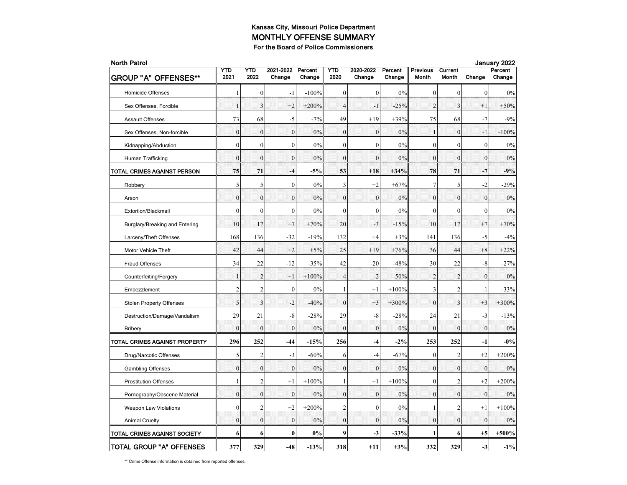| <b>North Patrol</b>             |                  |                  |                     |                   |                  |                     |                   |                          |                         |                  | January 2022      |
|---------------------------------|------------------|------------------|---------------------|-------------------|------------------|---------------------|-------------------|--------------------------|-------------------------|------------------|-------------------|
| <b>GROUP "A" OFFENSES**</b>     | YTD<br>2021      | YTD<br>2022      | 2021-2022<br>Change | Percent<br>Change | YTD<br>2020      | 2020-2022<br>Change | Percent<br>Change | <b>Previous</b><br>Month | Current<br><b>Month</b> | Change           | Percent<br>Change |
| <b>Homicide Offenses</b>        | 1                | $\mathbf{0}$     | $-1$                | $-100%$           | $\mathbf{0}$     | $\mathbf{0}$        | 0%                | $\mathbf{0}$             | $\mathbf{0}$            | $\mathbf{0}$     | 0%                |
| Sex Offenses, Forcible          | $\mathbf{1}$     | 3                | $+2$                | $+200%$           | $\overline{4}$   | $-1$                | $-25%$            | $\overline{2}$           | 3                       | $+1$             | $+50%$            |
| <b>Assault Offenses</b>         | 73               | 68               | $-5$                | $-7%$             | 49               | $+19$               | $+39%$            | 75                       | 68                      | $-7$             | $-9%$             |
| Sex Offenses, Non-forcible      | $\mathbf{0}$     | $\boldsymbol{0}$ | $\mathbf{0}$        | 0%                | $\boldsymbol{0}$ | $\boldsymbol{0}$    | 0%                | $\mathbf{1}$             | $\boldsymbol{0}$        | $-1$             | $-100%$           |
| Kidnapping/Abduction            | $\boldsymbol{0}$ | $\mathbf{0}$     | $\overline{0}$      | 0%                | $\mathbf{0}$     | $\mathbf{0}$        | 0%                | $\boldsymbol{0}$         | $\mathbf{0}$            | $\boldsymbol{0}$ | 0%                |
| Human Trafficking               | $\theta$         | $\mathbf{0}$     | $\overline{0}$      | 0%                | $\mathbf{0}$     | $\theta$            | 0%                | $\mathbf{0}$             | $\theta$                | $\mathbf{0}$     | 0%                |
| TOTAL CRIMES AGAINST PERSON     | 75               | 71               | -4                  | $-5%$             | 53               | $+18$               | $+34%$            | 78                       | 71                      | $-7$             | $-9%$             |
| Robbery                         | 5                | 5                | $\mathbf{0}$        | 0%                | 3                | $+2$                | $+67%$            | $\overline{7}$           | 5                       | $-2$             | $-29%$            |
| Arson                           | $\boldsymbol{0}$ | $\boldsymbol{0}$ | $\mathbf{0}$        | 0%                | $\mathbf{0}$     | $\boldsymbol{0}$    | $0\%$             | $\bf{0}$                 | $\bf{0}$                | $\boldsymbol{0}$ | 0%                |
| Extortion/Blackmail             | $\overline{0}$   | $\boldsymbol{0}$ | $\boldsymbol{0}$    | 0%                | $\mathbf{0}$     | $\boldsymbol{0}$    | 0%                | $\mathbf{0}$             | $\mathbf{0}$            | $\mathbf{0}$     | 0%                |
| Burglary/Breaking and Entering  | 10               | 17               | $+7$                | $+70%$            | 20               | $-3$                | $-15%$            | 10                       | 17                      | $+7$             | $+70%$            |
| Larceny/Theft Offenses          | 168              | 136              | $-32$               | $-19%$            | 132              | $+4$                | $+3%$             | 141                      | 136                     | $-5$             | $-4%$             |
| Motor Vehicle Theft             | 42               | 44               | $+2$                | $+5%$             | 25               | $+19$               | $+76%$            | 36                       | 44                      | $+8$             | $+22%$            |
| Fraud Offenses                  | 34               | 22               | $-12$               | $-35%$            | 42               | $-20$               | $-48%$            | 30                       | 22                      | -8               | $-27%$            |
| Counterfeiting/Forgery          | $\mathbf{1}$     | $\overline{2}$   | $+1$                | $+100%$           | $\overline{4}$   | $-2$                | $-50%$            | $\overline{2}$           | $\overline{2}$          | $\boldsymbol{0}$ | 0%                |
| Embezzlement                    | $\overline{c}$   | $\overline{c}$   | $\boldsymbol{0}$    | 0%                | $\mathbf{1}$     | $+1$                | $+100%$           | 3                        | $\overline{c}$          | $-1$             | $-33%$            |
| <b>Stolen Property Offenses</b> | 5                | 3                | $-2$                | $-40%$            | $\mathbf{0}$     | $+3$                | $+300%$           | $\mathbf{0}$             | 3                       | $+3$             | $+300%$           |
| Destruction/Damage/Vandalism    | 29               | 21               | $-8$                | $-28%$            | 29               | -8                  | $-28%$            | 24                       | 21                      | $-3$             | $-13%$            |
| <b>Bribery</b>                  | $\overline{0}$   | $\mathbf{0}$     | $\overline{0}$      | 0%                | $\mathbf{0}$     | $\mathbf{0}$        | 0%                | $\mathbf{0}$             | $\theta$                | $\mathbf{0}$     | 0%                |
| TOTAL CRIMES AGAINST PROPERTY   | 296              | 252              | -44                 | -15%              | 256              | $-4$                | $-2\%$            | 253                      | 252                     | $-1$             | $-0\%$            |
| Drug/Narcotic Offenses          | 5                | $\overline{c}$   | $-3$                | $-60%$            | 6                | $-4$                | $-67%$            | $\boldsymbol{0}$         | $\overline{c}$          | $+2$             | $+200%$           |
| <b>Gambling Offenses</b>        | $\mathbf{0}$     | $\boldsymbol{0}$ | $\mathbf{0}$        | 0%                | $\mathbf{0}$     | $\mathbf{0}$        | 0%                | $\mathbf{0}$             | $\mathbf{0}$            | $\mathbf{0}$     | 0%                |
| <b>Prostitution Offenses</b>    | 1                | $\overline{2}$   | $+1$                | $+100%$           | $\mathbf{1}$     | $+1$                | $+100%$           | $\mathbf{0}$             | $\overline{2}$          | $+2$             | $+200%$           |
| Pornography/Obscene Material    | $\mathbf{0}$     | $\mathbf{0}$     | $\overline{0}$      | $0\%$             | $\mathbf{0}$     | $\mathbf{0}$        | 0%                | $\mathbf{0}$             | $\mathbf{0}$            | $\mathbf{0}$     | 0%                |
| <b>Weapon Law Violations</b>    | $\mathbf{0}$     | 2                | $+2$                | $+200%$           | $\overline{c}$   | $\mathbf{0}$        | 0%                | 1                        | 2                       | $^{+1}$          | $+100%$           |
| <b>Animal Cruelty</b>           | $\mathbf{0}$     | $\mathbf{0}$     | $\mathbf{0}$        | 0%                | $\mathbf{0}$     | $\theta$            | 0%                | $\mathbf{0}$             | $\mathbf{0}$            | $\mathbf{0}$     | 0%                |
| TOTAL CRIMES AGAINST SOCIETY    | 6                | 6                | $\bf{0}$            | 0%                | 9                | $-3$                | $-33%$            | 1                        | 6                       | $+5$             | $+500%$           |
| <b>TOTAL GROUP "A" OFFENSES</b> | 377              | 329              | $-48$               | $-13%$            | 318              | $+11$               | $+3%$             | 332                      | 329                     | $-3$             | $-1\%$            |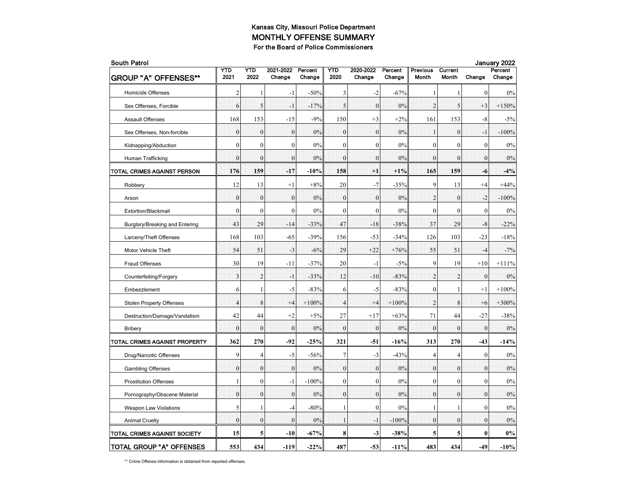| <b>South Patrol</b>             |                |                |                     |                   |                |                     |                   |                   |                         |              | January 2022      |  |
|---------------------------------|----------------|----------------|---------------------|-------------------|----------------|---------------------|-------------------|-------------------|-------------------------|--------------|-------------------|--|
| <b>GROUP "A" OFFENSES**</b>     | YTD<br>2021    | YTD<br>2022    | 2021-2022<br>Change | Percent<br>Change | YTD<br>2020    | 2020-2022<br>Change | Percent<br>Change | Previous<br>Month | Current<br><b>Month</b> | Change       | Percent<br>Change |  |
| <b>Homicide Offenses</b>        | 2              |                | $-1$                | $-50%$            | 3              | $-2$                | $-67%$            | 1                 | 1                       | $\theta$     | 0%                |  |
| Sex Offenses, Forcible          | 6              | 5              | $-1$                | $-17%$            | 5              | $\boldsymbol{0}$    | 0%                | $\overline{2}$    | 5                       | $+3$         | $+150%$           |  |
| <b>Assault Offenses</b>         | 168            | 153            | $-15$               | $-9%$             | 150            | $+3$                | $+2%$             | 161               | 153                     | $-8$         | $-5%$             |  |
| Sex Offenses, Non-forcible      | $\mathbf{0}$   | $\mathbf{0}$   | $\mathbf{0}$        | 0%                | $\mathbf{0}$   | $\boldsymbol{0}$    | 0%                | $\mathbf{1}$      | $\mathbf{0}$            | $-1$         | $-100%$           |  |
| Kidnapping/Abduction            | $\mathbf{0}$   | $\theta$       | $\mathbf{0}$        | 0%                | $\mathbf{0}$   | $\theta$            | 0%                | $\mathbf{0}$      | $\mathbf{0}$            | $\mathbf{0}$ | 0%                |  |
| Human Trafficking               | $\theta$       | $\theta$       | $\theta$            | 0%                | $\theta$       | $\theta$            | 0%                | $\mathbf{0}$      | $\theta$                | $\theta$     | 0%                |  |
| TOTAL CRIMES AGAINST PERSON     | 176            | 159            | $-17$               | -10%              | 158            | $+1$                | $+1\%$            | 165               | 159                     | -6           | $-4%$             |  |
| Robbery                         | 12             | 13             | $+1$                | $+8%$             | 20             | $-7$                | $-35%$            | 9                 | 13                      | $+4$         | $+44%$            |  |
| Arson                           | $\mathbf{0}$   | $\mathbf{0}$   | $\mathbf{0}$        | 0%                | $\mathbf{0}$   | $\mathbf{0}$        | 0%                | $\overline{2}$    | $\overline{0}$          | $-2$         | $-100%$           |  |
| Extortion/Blackmail             | $\mathbf{0}$   | $\mathbf{0}$   | $\mathbf{0}$        | 0%                | $\mathbf{0}$   | $\mathbf{0}$        | 0%                | $\mathbf{0}$      | $\mathbf{0}$            | $\mathbf{0}$ | 0%                |  |
| Burglary/Breaking and Entering  | 43             | 29             | $-14$               | $-33%$            | 47             | $-18$               | $-38%$            | 37                | 29                      | $-8$         | $-22%$            |  |
| Larceny/Theft Offenses          | 168            | 103            | $-65$               | $-39%$            | 156            | $-53$               | $-34%$            | 126               | 103                     | $-23$        | $-18%$            |  |
| Motor Vehicle Theft             | 54             | 51             | $-3$                | $-6%$             | 29             | $+22$               | $+76%$            | 55                | 51                      | $-4$         | $-7%$             |  |
| Fraud Offenses                  | 30             | 19             | $-11$               | $-37%$            | 20             | $-1$                | $-5%$             | 9                 | 19                      | $+10$        | $+111\%$          |  |
| Counterfeiting/Forgery          | 3              | $\overline{2}$ | $-1$                | $-33%$            | 12             | $-10$               | $-83%$            | $\overline{2}$    | $\overline{2}$          | $\mathbf{0}$ | 0%                |  |
| Embezzlement                    | 6              | $\mathbf{1}$   | $-5$                | $-83%$            | 6              | $-5$                | $-83%$            | $\mathbf{0}$      | $\mathbf{1}$            | $+1$         | $+100%$           |  |
| <b>Stolen Property Offenses</b> | $\overline{4}$ | 8              | $+4$                | $+100%$           | $\overline{4}$ | $+4$                | $+100%$           | $\overline{2}$    | 8                       | $+6$         | $+300%$           |  |
| Destruction/Damage/Vandalism    | 42             | 44             | $+2$                | $+5%$             | 27             | $+17$               | $+63%$            | 71                | 44                      | $-27$        | $-38%$            |  |
| <b>Bribery</b>                  | $\mathbf{0}$   | $\mathbf{0}$   | $\overline{0}$      | 0%                | $\mathbf{0}$   | $\mathbf{0}$        | 0%                | $\mathbf{0}$      | $\mathbf{0}$            | $\mathbf{0}$ | 0%                |  |
| TOTAL CRIMES AGAINST PROPERTY   | 362            | 270            | $-92$               | $-25%$            | 321            | $-51$               | $-16%$            | 313               | 270                     | $-43$        | $-14%$            |  |
| Drug/Narcotic Offenses          | 9              | $\overline{4}$ | $-5$                | $-56%$            | $\overline{7}$ | $-3$                | $-43%$            | 4                 | 4                       | $\theta$     | 0%                |  |
| <b>Gambling Offenses</b>        | $\theta$       | $\mathbf{0}$   | $\theta$            | 0%                | $\theta$       | $\mathbf{0}$        | 0%                | $\mathbf{0}$      | $\theta$                | $\mathbf{0}$ | $0\%$             |  |
| <b>Prostitution Offenses</b>    | $\mathbf{1}$   | $\mathbf{0}$   | $-1$                | $-100%$           | $\mathbf{0}$   | $\boldsymbol{0}$    | 0%                | $\boldsymbol{0}$  | $\mathbf{0}$            | $\theta$     | 0%                |  |
| Pornography/Obscene Material    | $\mathbf{0}$   | $\mathbf{0}$   | $\mathbf{0}$        | $0\%$             | $\mathbf{0}$   | $\mathbf{0}$        | 0%                | $\mathbf{0}$      | $\mathbf{0}$            | $\mathbf{0}$ | $0\%$             |  |
| <b>Weapon Law Violations</b>    | 5              | 1              | $-4$                | $-80%$            | 1              | $\theta$            | 0%                | 1                 | 1                       | $\mathbf{0}$ | 0%                |  |
| <b>Animal Cruelty</b>           | $\theta$       | $\theta$       | $\theta$            | 0%                | 1              | $-1$                | $-100%$           | $\mathbf{0}$      | $\theta$                | $\theta$     | 0%                |  |
| TOTAL CRIMES AGAINST SOCIETY    | 15             | 5              | $-10$               | -67%              | 8              | $-3$                | $-38%$            | 5                 | 5                       | $\bf{0}$     | $0\%$             |  |
| <b>TOTAL GROUP "A" OFFENSES</b> | 553            | 434            | $-119$              | $-22%$            | 487            | $-53$               | $-11%$            | 483               | 434                     | $-49$        | $-10%$            |  |